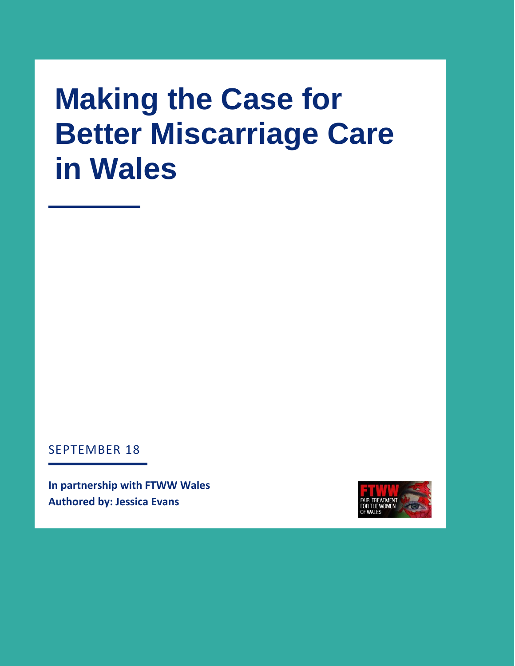# **Making the Case for Better Miscarriage Care in Wales**

SEPTEMBER 18

**In partnership with FTWW Wales Authored by: Jessica Evans** 

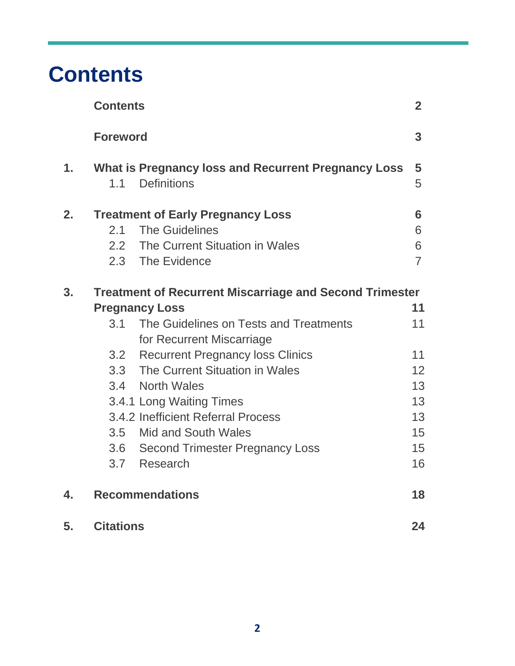### **Contents**

|    | <b>Contents</b>                                                |                                                                                  | $\overline{2}$ |
|----|----------------------------------------------------------------|----------------------------------------------------------------------------------|----------------|
|    | <b>Foreword</b>                                                |                                                                                  | 3              |
| 1. | 1.1                                                            | <b>What is Pregnancy loss and Recurrent Pregnancy Loss</b><br><b>Definitions</b> | 5<br>5         |
| 2. |                                                                | <b>Treatment of Early Pregnancy Loss</b>                                         | 6              |
|    | 2.1                                                            | <b>The Guidelines</b>                                                            | 6              |
|    |                                                                | 2.2 The Current Situation in Wales                                               | 6              |
|    |                                                                | 2.3 The Evidence                                                                 | $\overline{7}$ |
| 3. | <b>Treatment of Recurrent Miscarriage and Second Trimester</b> |                                                                                  |                |
|    |                                                                | <b>Pregnancy Loss</b>                                                            | 11             |
|    | 3.1                                                            | The Guidelines on Tests and Treatments                                           | 11             |
|    |                                                                | for Recurrent Miscarriage                                                        |                |
|    |                                                                | 3.2 Recurrent Pregnancy loss Clinics                                             | 11             |
|    |                                                                | 3.3 The Current Situation in Wales                                               | 12             |
|    |                                                                | 3.4 North Wales                                                                  | 13             |
|    |                                                                | 3.4.1 Long Waiting Times                                                         | 13             |
|    |                                                                | 3.4.2 Inefficient Referral Process                                               | 13             |
|    |                                                                | 3.5 Mid and South Wales                                                          | 15             |
|    |                                                                | 3.6 Second Trimester Pregnancy Loss                                              | 15             |
|    |                                                                | 3.7 Research                                                                     | 16             |
| 4. |                                                                | <b>Recommendations</b>                                                           |                |
| 5. | <b>Citations</b>                                               |                                                                                  | 24             |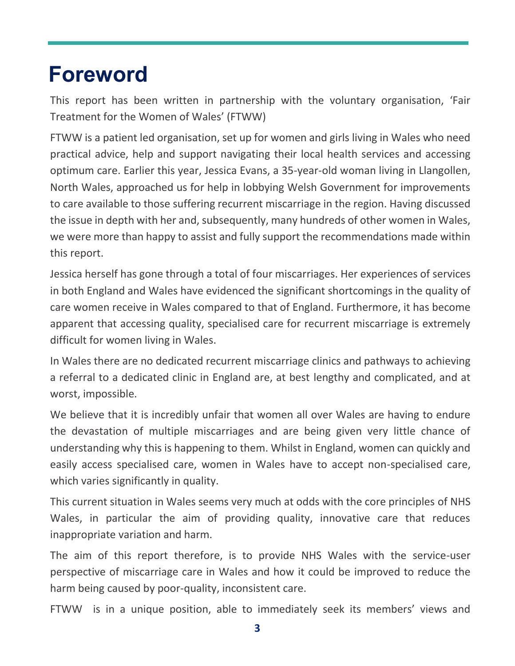### **Foreword**

This report has been written in partnership with the voluntary organisation, 'Fair Treatment for the Women of Wales' (FTWW)

FTWW is a patient led organisation, set up for women and girls living in Wales who need practical advice, help and support navigating their local health services and accessing optimum care. Earlier this year, Jessica Evans, a 35-year-old woman living in Llangollen, North Wales, approached us for help in lobbying Welsh Government for improvements to care available to those suffering recurrent miscarriage in the region. Having discussed the issue in depth with her and, subsequently, many hundreds of other women in Wales, we were more than happy to assist and fully support the recommendations made within this report.

Jessica herself has gone through a total of four miscarriages. Her experiences of services in both England and Wales have evidenced the significant shortcomings in the quality of care women receive in Wales compared to that of England. Furthermore, it has become apparent that accessing quality, specialised care for recurrent miscarriage is extremely difficult for women living in Wales.

In Wales there are no dedicated recurrent miscarriage clinics and pathways to achieving a referral to a dedicated clinic in England are, at best lengthy and complicated, and at worst, impossible.

We believe that it is incredibly unfair that women all over Wales are having to endure the devastation of multiple miscarriages and are being given very little chance of understanding why this is happening to them. Whilst in England, women can quickly and easily access specialised care, women in Wales have to accept non-specialised care, which varies significantly in quality.

This current situation in Wales seems very much at odds with the core principles of NHS Wales, in particular the aim of providing quality, innovative care that reduces inappropriate variation and harm.

The aim of this report therefore, is to provide NHS Wales with the service-user perspective of miscarriage care in Wales and how it could be improved to reduce the harm being caused by poor-quality, inconsistent care.

FTWW is in a unique position, able to immediately seek its members' views and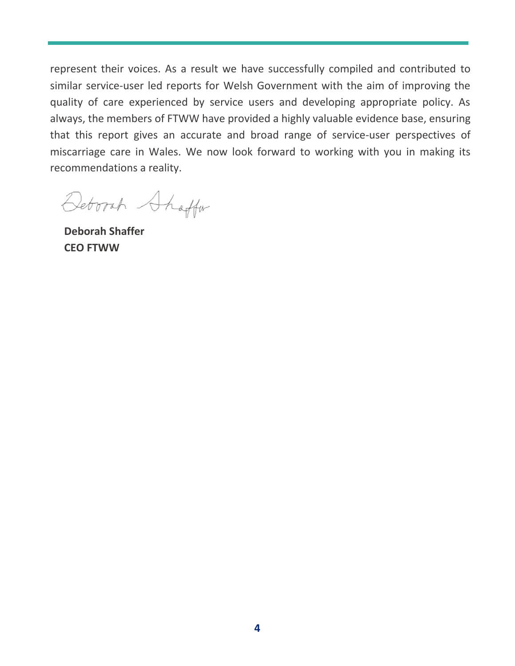represent their voices. As a result we have successfully compiled and contributed to similar service-user led reports for Welsh Government with the aim of improving the quality of care experienced by service users and developing appropriate policy. As always, the members of FTWW have provided a highly valuable evidence base, ensuring that this report gives an accurate and broad range of service-user perspectives of miscarriage care in Wales. We now look forward to working with you in making its recommendations a reality.

Deborah Shaffar

**Deborah Shaffer CEO FTWW**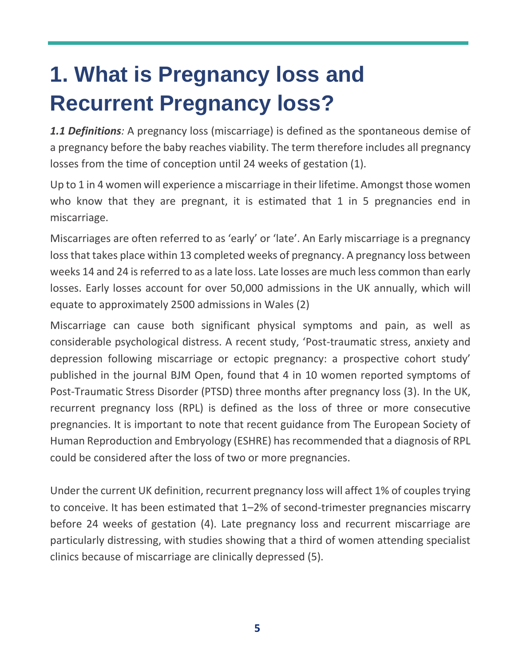## **1. What is Pregnancy loss and Recurrent Pregnancy loss?**

*1.1 Definitions:* A pregnancy loss (miscarriage) is defined as the spontaneous demise of a pregnancy before the baby reaches viability. The term therefore includes all pregnancy losses from the time of conception until 24 weeks of gestation (1).

Up to 1 in 4 women will experience a miscarriage in their lifetime. Amongst those women who know that they are pregnant, it is estimated that 1 in 5 pregnancies end in miscarriage.

Miscarriages are often referred to as 'early' or 'late'. An Early miscarriage is a pregnancy loss that takes place within 13 completed weeks of pregnancy. A pregnancy loss between weeks 14 and 24 is referred to as a late loss. Late losses are much less common than early losses. Early losses account for over 50,000 admissions in the UK annually, which will equate to approximately 2500 admissions in Wales (2)

Miscarriage can cause both significant physical symptoms and pain, as well as considerable psychological distress. A recent study, 'Post-traumatic stress, anxiety and depression following miscarriage or ectopic pregnancy: a prospective cohort study' published in the journal BJM Open, found that 4 in 10 women reported symptoms of Post-Traumatic Stress Disorder (PTSD) three months after pregnancy loss (3). In the UK, recurrent pregnancy loss (RPL) is defined as the loss of three or more consecutive pregnancies. It is important to note that recent guidance from The European Society of Human Reproduction and Embryology (ESHRE) has recommended that a diagnosis of RPL could be considered after the loss of two or more pregnancies.

Under the current UK definition, recurrent pregnancy loss will affect 1% of couples trying to conceive. It has been estimated that 1–2% of second-trimester pregnancies miscarry before 24 weeks of gestation (4). Late pregnancy loss and recurrent miscarriage are particularly distressing, with studies showing that a third of women attending specialist clinics because of miscarriage are clinically depressed (5).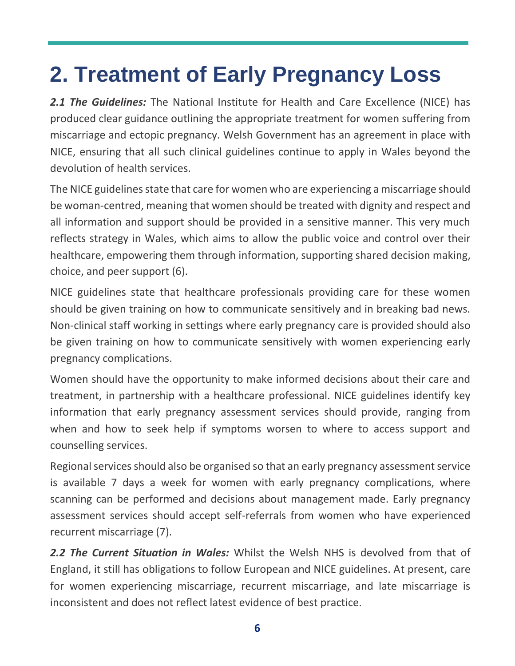## **2. Treatment of Early Pregnancy Loss**

2.1 The Guidelines: The National Institute for Health and Care Excellence (NICE) has produced clear guidance outlining the appropriate treatment for women suffering from miscarriage and ectopic pregnancy. Welsh Government has an agreement in place with NICE, ensuring that all such clinical guidelines continue to apply in Wales beyond the devolution of health services.

The NICE guidelines state that care for women who are experiencing a miscarriage should be woman-centred, meaning that women should be treated with dignity and respect and all information and support should be provided in a sensitive manner. This very much reflects strategy in Wales, which aims to allow the public voice and control over their healthcare, empowering them through information, supporting shared decision making, choice, and peer support (6).

NICE guidelines state that healthcare professionals providing care for these women should be given training on how to communicate sensitively and in breaking bad news. Non-clinical staff working in settings where early pregnancy care is provided should also be given training on how to communicate sensitively with women experiencing early pregnancy complications.

Women should have the opportunity to make informed decisions about their care and treatment, in partnership with a healthcare professional. NICE guidelines identify key information that early pregnancy assessment services should provide, ranging from when and how to seek help if symptoms worsen to where to access support and counselling services.

Regional services should also be organised so that an early pregnancy assessment service is available 7 days a week for women with early pregnancy complications, where scanning can be performed and decisions about management made. Early pregnancy assessment services should accept self-referrals from women who have experienced recurrent miscarriage (7).

*2.2 The Current Situation in Wales:* Whilst the Welsh NHS is devolved from that of England, it still has obligations to follow European and NICE guidelines. At present, care for women experiencing miscarriage, recurrent miscarriage, and late miscarriage is inconsistent and does not reflect latest evidence of best practice.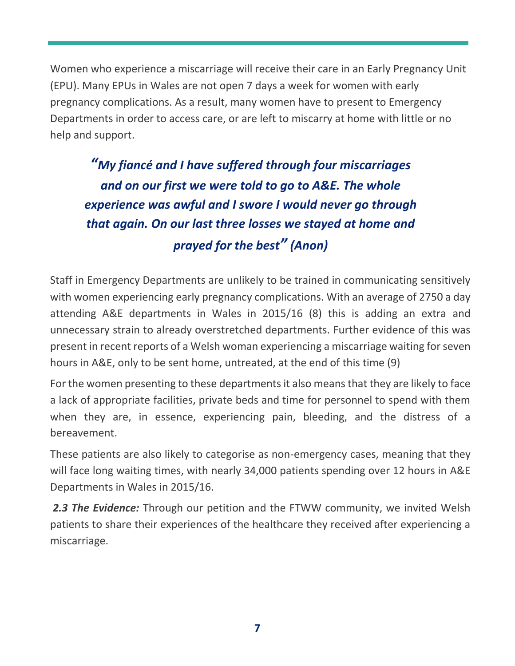Women who experience a miscarriage will receive their care in an Early Pregnancy Unit (EPU). Many EPUs in Wales are not open 7 days a week for women with early pregnancy complications. As a result, many women have to present to Emergency Departments in order to access care, or are left to miscarry at home with little or no help and support.

*"My fiancé and I have suffered through four miscarriages and on our first we were told to go to A&E. The whole experience was awful and I swore I would never go through that again. On our last three losses we stayed at home and prayed for the best" (Anon)*

Staff in Emergency Departments are unlikely to be trained in communicating sensitively with women experiencing early pregnancy complications. With an average of 2750 a day attending A&E departments in Wales in 2015/16 (8) this is adding an extra and unnecessary strain to already overstretched departments. Further evidence of this was present in recent reports of a Welsh woman experiencing a miscarriage waiting for seven hours in A&E, only to be sent home, untreated, at the end of this time (9)

For the women presenting to these departments it also means that they are likely to face a lack of appropriate facilities, private beds and time for personnel to spend with them when they are, in essence, experiencing pain, bleeding, and the distress of a bereavement.

These patients are also likely to categorise as non-emergency cases, meaning that they will face long waiting times, with nearly 34,000 patients spending over 12 hours in A&E Departments in Wales in 2015/16.

**2.3 The Evidence:** Through our petition and the FTWW community, we invited Welsh patients to share their experiences of the healthcare they received after experiencing a miscarriage.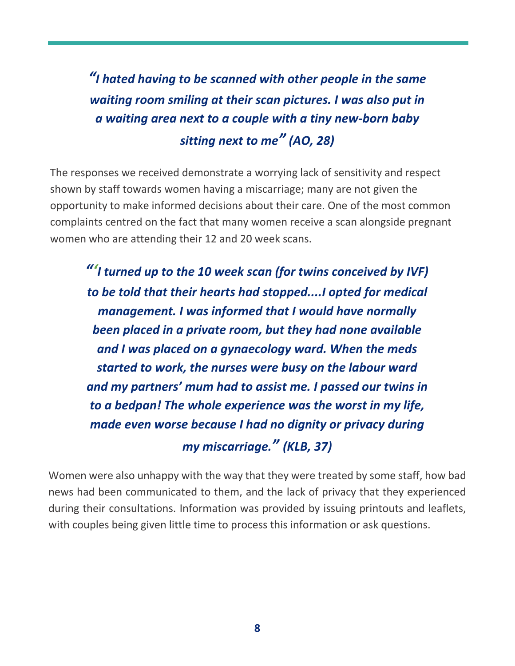*"I hated having to be scanned with other people in the same waiting room smiling at their scan pictures. I was also put in a waiting area next to a couple with a tiny new-born baby sitting next to me" (AO, 28)*

The responses we received demonstrate a worrying lack of sensitivity and respect shown by staff towards women having a miscarriage; many are not given the opportunity to make informed decisions about their care. One of the most common complaints centred on the fact that many women receive a scan alongside pregnant women who are attending their 12 and 20 week scans.

*"'I turned up to the 10 week scan (for twins conceived by IVF) to be told that their hearts had stopped....I opted for medical management. I was informed that I would have normally been placed in a private room, but they had none available and I was placed on a gynaecology ward. When the meds started to work, the nurses were busy on the labour ward and my partners' mum had to assist me. I passed our twins in to a bedpan! The whole experience was the worst in my life, made even worse because I had no dignity or privacy during my miscarriage." (KLB, 37)*

Women were also unhappy with the way that they were treated by some staff, how bad news had been communicated to them, and the lack of privacy that they experienced during their consultations. Information was provided by issuing printouts and leaflets, with couples being given little time to process this information or ask questions.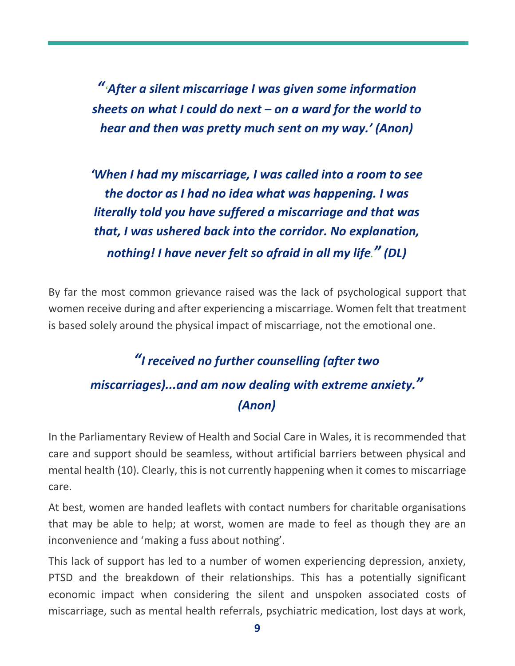*"'After a silent miscarriage I was given some information sheets on what I could do next – on a ward for the world to hear and then was pretty much sent on my way.' (Anon)*

*'When I had my miscarriage, I was called into a room to see the doctor as I had no idea what was happening. I was literally told you have suffered a miscarriage and that was that, I was ushered back into the corridor. No explanation, nothing! I have never felt so afraid in all my life." (DL)*

By far the most common grievance raised was the lack of psychological support that women receive during and after experiencing a miscarriage. Women felt that treatment is based solely around the physical impact of miscarriage, not the emotional one.

#### *"I received no further counselling (after two miscarriages)...and am now dealing with extreme anxiety." (Anon)*

In the Parliamentary Review of Health and Social Care in Wales, it is recommended that care and support should be seamless, without artificial barriers between physical and mental health (10). Clearly, this is not currently happening when it comes to miscarriage care.

At best, women are handed leaflets with contact numbers for charitable organisations that may be able to help; at worst, women are made to feel as though they are an inconvenience and 'making a fuss about nothing'.

This lack of support has led to a number of women experiencing depression, anxiety, PTSD and the breakdown of their relationships. This has a potentially significant economic impact when considering the silent and unspoken associated costs of miscarriage, such as mental health referrals, psychiatric medication, lost days at work,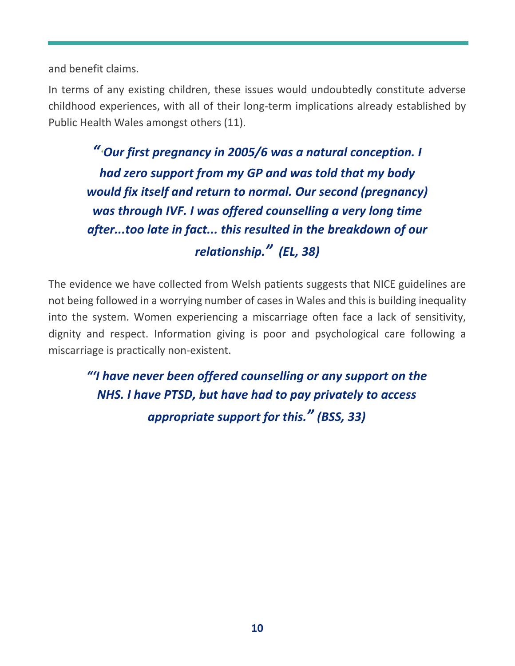and benefit claims.

In terms of any existing children, these issues would undoubtedly constitute adverse childhood experiences, with all of their long-term implications already established by Public Health Wales amongst others (11).

*"'Our first pregnancy in 2005/6 was a natural conception. I had zero support from my GP and was told that my body would fix itself and return to normal. Our second (pregnancy) was through IVF. I was offered counselling a very long time after...too late in fact... this resulted in the breakdown of our relationship." (EL, 38)*

The evidence we have collected from Welsh patients suggests that NICE guidelines are not being followed in a worrying number of cases in Wales and this is building inequality into the system. Women experiencing a miscarriage often face a lack of sensitivity, dignity and respect. Information giving is poor and psychological care following a miscarriage is practically non-existent.

*"'I have never been offered counselling or any support on the NHS. I have PTSD, but have had to pay privately to access appropriate support for this." (BSS, 33)*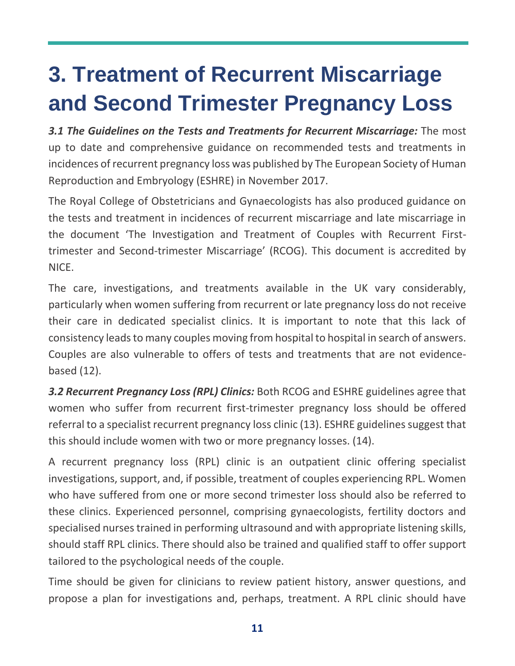## **3. Treatment of Recurrent Miscarriage and Second Trimester Pregnancy Loss**

*3.1 The Guidelines on the Tests and Treatments for Recurrent Miscarriage:* The most up to date and comprehensive guidance on recommended tests and treatments in incidences of recurrent pregnancy loss was published by The European Society of Human Reproduction and Embryology (ESHRE) in November 2017.

The Royal College of Obstetricians and Gynaecologists has also produced guidance on the tests and treatment in incidences of recurrent miscarriage and late miscarriage in the document 'The Investigation and Treatment of Couples with Recurrent Firsttrimester and Second-trimester Miscarriage' (RCOG). This document is accredited by NICE.

The care, investigations, and treatments available in the UK vary considerably, particularly when women suffering from recurrent or late pregnancy loss do not receive their care in dedicated specialist clinics. It is important to note that this lack of consistency leads to many couples moving from hospital to hospital in search of answers. Couples are also vulnerable to offers of tests and treatments that are not evidencebased (12).

*3.2 Recurrent Pregnancy Loss (RPL) Clinics:* Both RCOG and ESHRE guidelines agree that women who suffer from recurrent first-trimester pregnancy loss should be offered referral to a specialist recurrent pregnancy loss clinic (13). ESHRE guidelines suggest that this should include women with two or more pregnancy losses. (14).

A recurrent pregnancy loss (RPL) clinic is an outpatient clinic offering specialist investigations, support, and, if possible, treatment of couples experiencing RPL. Women who have suffered from one or more second trimester loss should also be referred to these clinics. Experienced personnel, comprising gynaecologists, fertility doctors and specialised nurses trained in performing ultrasound and with appropriate listening skills, should staff RPL clinics. There should also be trained and qualified staff to offer support tailored to the psychological needs of the couple.

Time should be given for clinicians to review patient history, answer questions, and propose a plan for investigations and, perhaps, treatment. A RPL clinic should have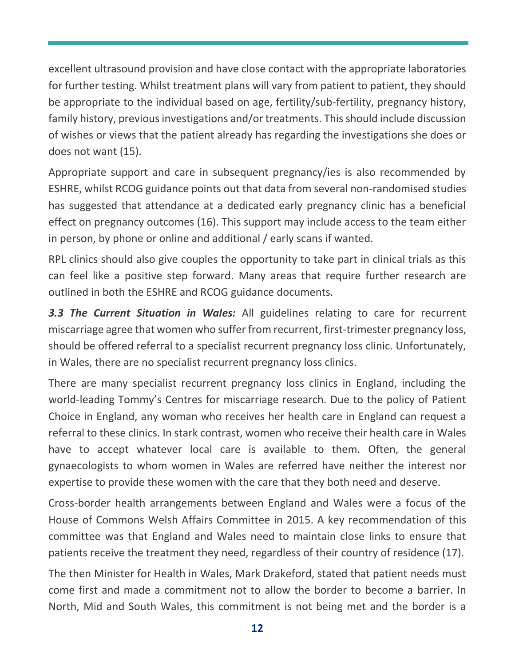excellent ultrasound provision and have close contact with the appropriate laboratories for further testing. Whilst treatment plans will vary from patient to patient, they should be appropriate to the individual based on age, fertility/sub-fertility, pregnancy history, family history, previous investigations and/or treatments. This should include discussion of wishes or views that the patient already has regarding the investigations she does or does not want (15).

Appropriate support and care in subsequent pregnancy/ies is also recommended by ESHRE, whilst RCOG guidance points out that data from several non-randomised studies has suggested that attendance at a dedicated early pregnancy clinic has a beneficial effect on pregnancy outcomes (16). This support may include access to the team either in person, by phone or online and additional / early scans if wanted.

RPL clinics should also give couples the opportunity to take part in clinical trials as this can feel like a positive step forward. Many areas that require further research are outlined in both the ESHRE and RCOG guidance documents.

*3.3 The Current Situation in Wales:* All guidelines relating to care for recurrent miscarriage agree that women who suffer from recurrent, first-trimester pregnancy loss, should be offered referral to a specialist recurrent pregnancy loss clinic. Unfortunately, in Wales, there are no specialist recurrent pregnancy loss clinics.

There are many specialist recurrent pregnancy loss clinics in England, including the world-leading Tommy's Centres for miscarriage research. Due to the policy of Patient Choice in England, any woman who receives her health care in England can request a referral to these clinics. In stark contrast, women who receive their health care in Wales have to accept whatever local care is available to them. Often, the general gynaecologists to whom women in Wales are referred have neither the interest nor expertise to provide these women with the care that they both need and deserve.

Cross-border health arrangements between England and Wales were a focus of the House of Commons Welsh Affairs Committee in 2015. A key recommendation of this committee was that England and Wales need to maintain close links to ensure that patients receive the treatment they need, regardless of their country of residence (17).

The then Minister for Health in Wales, Mark Drakeford, stated that patient needs must come first and made a commitment not to allow the border to become a barrier. In North, Mid and South Wales, this commitment is not being met and the border is a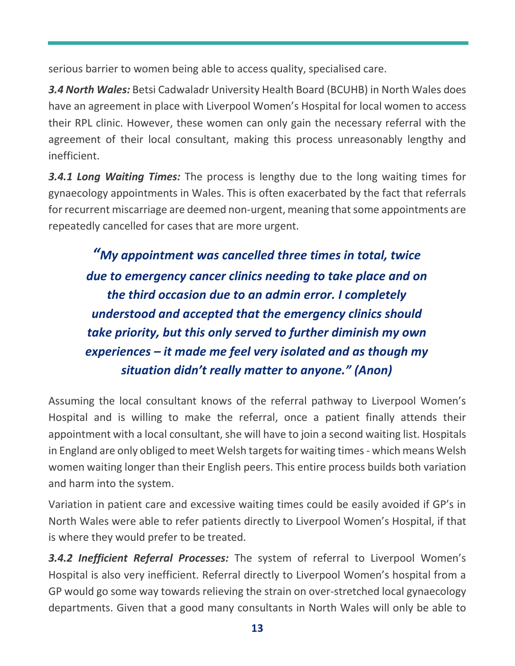serious barrier to women being able to access quality, specialised care.

*3.4 North Wales:* Betsi Cadwaladr University Health Board (BCUHB) in North Wales does have an agreement in place with Liverpool Women's Hospital for local women to access their RPL clinic. However, these women can only gain the necessary referral with the agreement of their local consultant, making this process unreasonably lengthy and inefficient.

*3.4.1 Long Waiting Times:* The process is lengthy due to the long waiting times for gynaecology appointments in Wales. This is often exacerbated by the fact that referrals for recurrent miscarriage are deemed non-urgent, meaning that some appointments are repeatedly cancelled for cases that are more urgent.

*"My appointment was cancelled three times in total, twice due to emergency cancer clinics needing to take place and on the third occasion due to an admin error. I completely understood and accepted that the emergency clinics should take priority, but this only served to further diminish my own experiences – it made me feel very isolated and as though my situation didn't really matter to anyone." (Anon)*

Assuming the local consultant knows of the referral pathway to Liverpool Women's Hospital and is willing to make the referral, once a patient finally attends their appointment with a local consultant, she will have to join a second waiting list. Hospitals in England are only obliged to meet Welsh targets for waiting times - which means Welsh women waiting longer than their English peers. This entire process builds both variation and harm into the system.

Variation in patient care and excessive waiting times could be easily avoided if GP's in North Wales were able to refer patients directly to Liverpool Women's Hospital, if that is where they would prefer to be treated.

*3.4.2 Inefficient Referral Processes:* The system of referral to Liverpool Women's Hospital is also very inefficient. Referral directly to Liverpool Women's hospital from a GP would go some way towards relieving the strain on over-stretched local gynaecology departments. Given that a good many consultants in North Wales will only be able to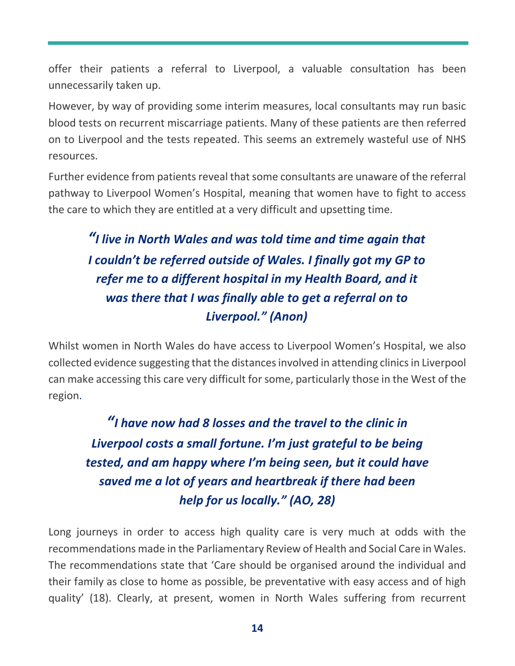offer their patients a referral to Liverpool, a valuable consultation has been unnecessarily taken up.

However, by way of providing some interim measures, local consultants may run basic blood tests on recurrent miscarriage patients. Many of these patients are then referred on to Liverpool and the tests repeated. This seems an extremely wasteful use of NHS resources.

Further evidence from patients reveal that some consultants are unaware of the referral pathway to Liverpool Women's Hospital, meaning that women have to fight to access the care to which they are entitled at a very difficult and upsetting time.

#### *"I live in North Wales and was told time and time again that I couldn't be referred outside of Wales. I finally got my GP to refer me to a different hospital in my Health Board, and it was there that I was finally able to get a referral on to Liverpool." (Anon)*

Whilst women in North Wales do have access to Liverpool Women's Hospital, we also collected evidence suggesting that the distances involved in attending clinics in Liverpool can make accessing this care very difficult for some, particularly those in the West of the region.

*"I have now had 8 losses and the travel to the clinic in Liverpool costs a small fortune. I'm just grateful to be being tested, and am happy where I'm being seen, but it could have saved me a lot of years and heartbreak if there had been help for us locally." (AO, 28)*

Long journeys in order to access high quality care is very much at odds with the recommendations made in the Parliamentary Review of Health and Social Care in Wales. The recommendations state that 'Care should be organised around the individual and their family as close to home as possible, be preventative with easy access and of high quality' (18). Clearly, at present, women in North Wales suffering from recurrent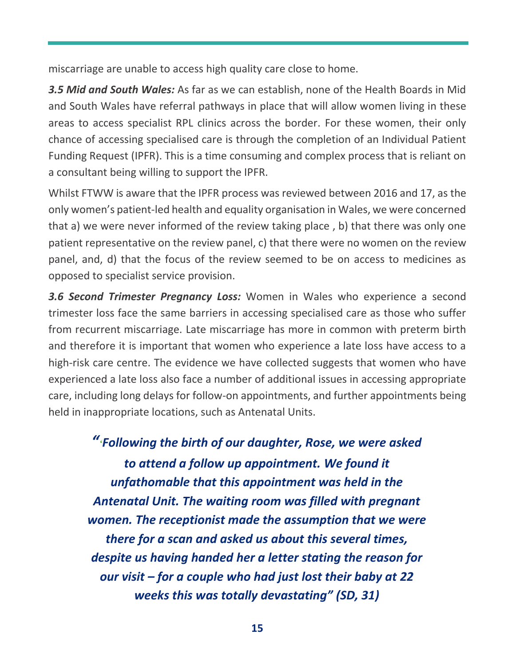miscarriage are unable to access high quality care close to home.

*3.5 Mid and South Wales:* As far as we can establish, none of the Health Boards in Mid and South Wales have referral pathways in place that will allow women living in these areas to access specialist RPL clinics across the border. For these women, their only chance of accessing specialised care is through the completion of an Individual Patient Funding Request (IPFR). This is a time consuming and complex process that is reliant on a consultant being willing to support the IPFR.

Whilst FTWW is aware that the IPFR process was reviewed between 2016 and 17, as the only women's patient-led health and equality organisation in Wales, we were concerned that a) we were never informed of the review taking place , b) that there was only one patient representative on the review panel, c) that there were no women on the review panel, and, d) that the focus of the review seemed to be on access to medicines as opposed to specialist service provision.

*3.6 Second Trimester Pregnancy Loss:* Women in Wales who experience a second trimester loss face the same barriers in accessing specialised care as those who suffer from recurrent miscarriage. Late miscarriage has more in common with preterm birth and therefore it is important that women who experience a late loss have access to a high-risk care centre. The evidence we have collected suggests that women who have experienced a late loss also face a number of additional issues in accessing appropriate care, including long delays for follow-on appointments, and further appointments being held in inappropriate locations, such as Antenatal Units.

*"'Following the birth of our daughter, Rose, we were asked to attend a follow up appointment. We found it unfathomable that this appointment was held in the Antenatal Unit. The waiting room was filled with pregnant women. The receptionist made the assumption that we were there for a scan and asked us about this several times, despite us having handed her a letter stating the reason for our visit – for a couple who had just lost their baby at 22 weeks this was totally devastating" (SD, 31)*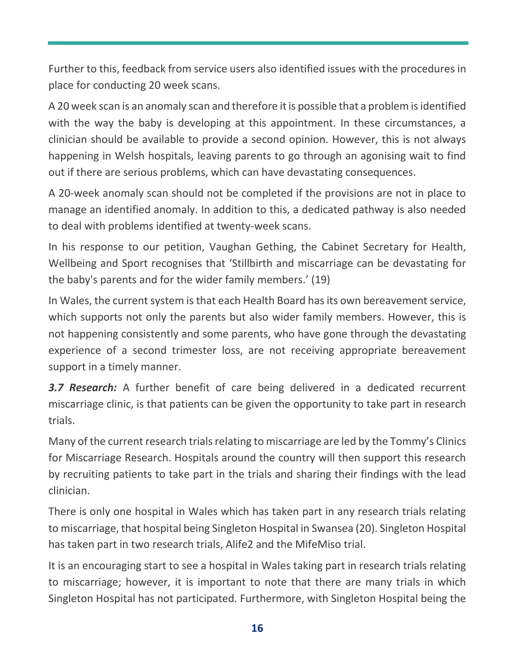Further to this, feedback from service users also identified issues with the procedures in place for conducting 20 week scans.

A 20 week scan is an anomaly scan and therefore it is possible that a problem is identified with the way the baby is developing at this appointment. In these circumstances, a clinician should be available to provide a second opinion. However, this is not always happening in Welsh hospitals, leaving parents to go through an agonising wait to find out if there are serious problems, which can have devastating consequences.

A 20-week anomaly scan should not be completed if the provisions are not in place to manage an identified anomaly. In addition to this, a dedicated pathway is also needed to deal with problems identified at twenty-week scans.

In his response to our petition, Vaughan Gething, the Cabinet Secretary for Health, Wellbeing and Sport recognises that 'Stillbirth and miscarriage can be devastating for the baby's parents and for the wider family members.' (19)

In Wales, the current system is that each Health Board has its own bereavement service, which supports not only the parents but also wider family members. However, this is not happening consistently and some parents, who have gone through the devastating experience of a second trimester loss, are not receiving appropriate bereavement support in a timely manner.

*3.7 Research:* A further benefit of care being delivered in a dedicated recurrent miscarriage clinic, is that patients can be given the opportunity to take part in research trials.

Many of the current research trials relating to miscarriage are led by the Tommy's Clinics for Miscarriage Research. Hospitals around the country will then support this research by recruiting patients to take part in the trials and sharing their findings with the lead clinician.

There is only one hospital in Wales which has taken part in any research trials relating to miscarriage, that hospital being Singleton Hospital in Swansea (20). Singleton Hospital has taken part in two research trials, Alife2 and the MifeMiso trial.

It is an encouraging start to see a hospital in Wales taking part in research trials relating to miscarriage; however, it is important to note that there are many trials in which Singleton Hospital has not participated. Furthermore, with Singleton Hospital being the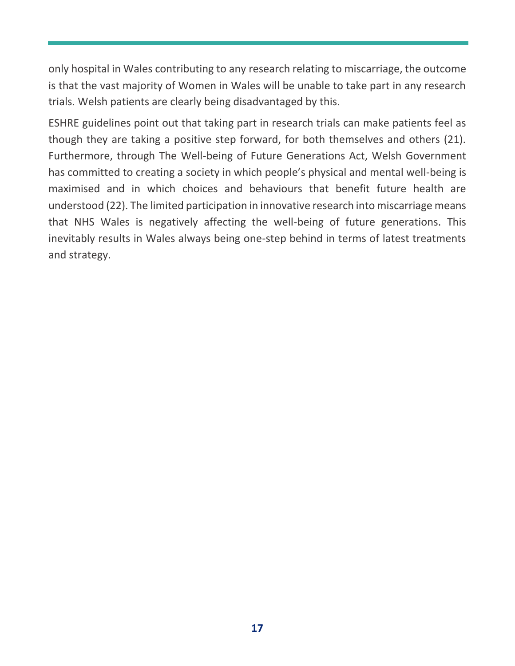only hospital in Wales contributing to any research relating to miscarriage, the outcome is that the vast majority of Women in Wales will be unable to take part in any research trials. Welsh patients are clearly being disadvantaged by this.

ESHRE guidelines point out that taking part in research trials can make patients feel as though they are taking a positive step forward, for both themselves and others (21). Furthermore, through The Well-being of Future Generations Act, Welsh Government has committed to creating a society in which people's physical and mental well-being is maximised and in which choices and behaviours that benefit future health are understood (22). The limited participation in innovative research into miscarriage means that NHS Wales is negatively affecting the well-being of future generations. This inevitably results in Wales always being one-step behind in terms of latest treatments and strategy.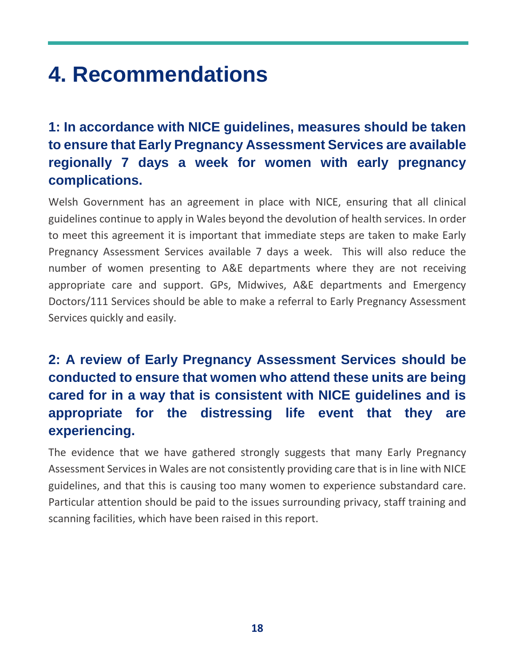### **4. Recommendations**

#### **1: In accordance with NICE guidelines, measures should be taken to ensure that Early Pregnancy Assessment Services are available regionally 7 days a week for women with early pregnancy complications.**

Welsh Government has an agreement in place with NICE, ensuring that all clinical guidelines continue to apply in Wales beyond the devolution of health services. In order to meet this agreement it is important that immediate steps are taken to make Early Pregnancy Assessment Services available 7 days a week. This will also reduce the number of women presenting to A&E departments where they are not receiving appropriate care and support. GPs, Midwives, A&E departments and Emergency Doctors/111 Services should be able to make a referral to Early Pregnancy Assessment Services quickly and easily.

#### **2: A review of Early Pregnancy Assessment Services should be conducted to ensure that women who attend these units are being cared for in a way that is consistent with NICE guidelines and is appropriate for the distressing life event that they are experiencing.**

The evidence that we have gathered strongly suggests that many Early Pregnancy Assessment Services in Wales are not consistently providing care that is in line with NICE guidelines, and that this is causing too many women to experience substandard care. Particular attention should be paid to the issues surrounding privacy, staff training and scanning facilities, which have been raised in this report.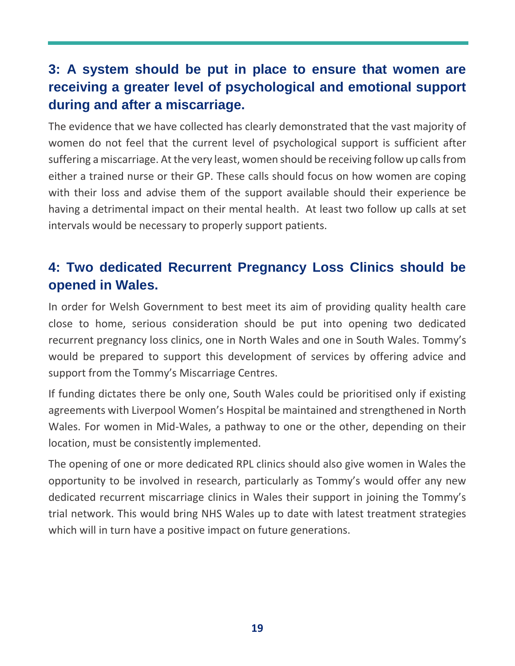#### **3: A system should be put in place to ensure that women are receiving a greater level of psychological and emotional support during and after a miscarriage.**

The evidence that we have collected has clearly demonstrated that the vast majority of women do not feel that the current level of psychological support is sufficient after suffering a miscarriage. At the very least, women should be receiving follow up calls from either a trained nurse or their GP. These calls should focus on how women are coping with their loss and advise them of the support available should their experience be having a detrimental impact on their mental health. At least two follow up calls at set intervals would be necessary to properly support patients.

#### **4: Two dedicated Recurrent Pregnancy Loss Clinics should be opened in Wales.**

In order for Welsh Government to best meet its aim of providing quality health care close to home, serious consideration should be put into opening two dedicated recurrent pregnancy loss clinics, one in North Wales and one in South Wales. Tommy's would be prepared to support this development of services by offering advice and support from the Tommy's Miscarriage Centres.

If funding dictates there be only one, South Wales could be prioritised only if existing agreements with Liverpool Women's Hospital be maintained and strengthened in North Wales. For women in Mid-Wales, a pathway to one or the other, depending on their location, must be consistently implemented.

The opening of one or more dedicated RPL clinics should also give women in Wales the opportunity to be involved in research, particularly as Tommy's would offer any new dedicated recurrent miscarriage clinics in Wales their support in joining the Tommy's trial network. This would bring NHS Wales up to date with latest treatment strategies which will in turn have a positive impact on future generations.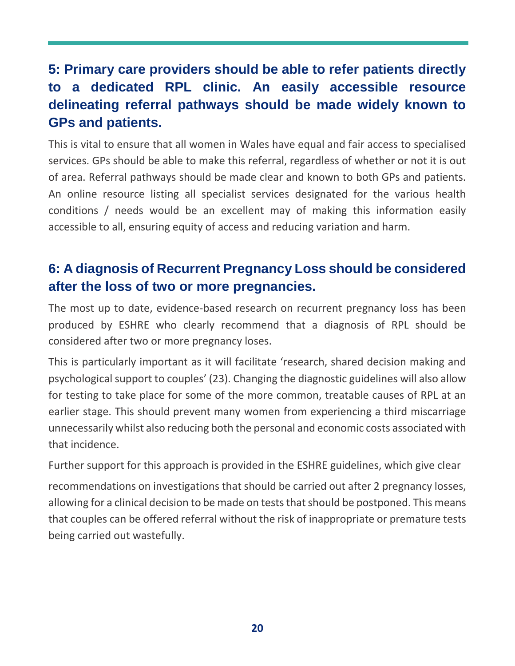#### **5: Primary care providers should be able to refer patients directly to a dedicated RPL clinic. An easily accessible resource delineating referral pathways should be made widely known to GPs and patients.**

This is vital to ensure that all women in Wales have equal and fair access to specialised services. GPs should be able to make this referral, regardless of whether or not it is out of area. Referral pathways should be made clear and known to both GPs and patients. An online resource listing all specialist services designated for the various health conditions / needs would be an excellent may of making this information easily accessible to all, ensuring equity of access and reducing variation and harm.

#### **6: A diagnosis of Recurrent Pregnancy Loss should be considered after the loss of two or more pregnancies.**

The most up to date, evidence-based research on recurrent pregnancy loss has been produced by ESHRE who clearly recommend that a diagnosis of RPL should be considered after two or more pregnancy loses.

This is particularly important as it will facilitate 'research, shared decision making and psychological support to couples' (23). Changing the diagnostic guidelines will also allow for testing to take place for some of the more common, treatable causes of RPL at an earlier stage. This should prevent many women from experiencing a third miscarriage unnecessarily whilst also reducing both the personal and economic costs associated with that incidence.

Further support for this approach is provided in the ESHRE guidelines, which give clear

recommendations on investigations that should be carried out after 2 pregnancy losses, allowing for a clinical decision to be made on tests that should be postponed. This means that couples can be offered referral without the risk of inappropriate or premature tests being carried out wastefully.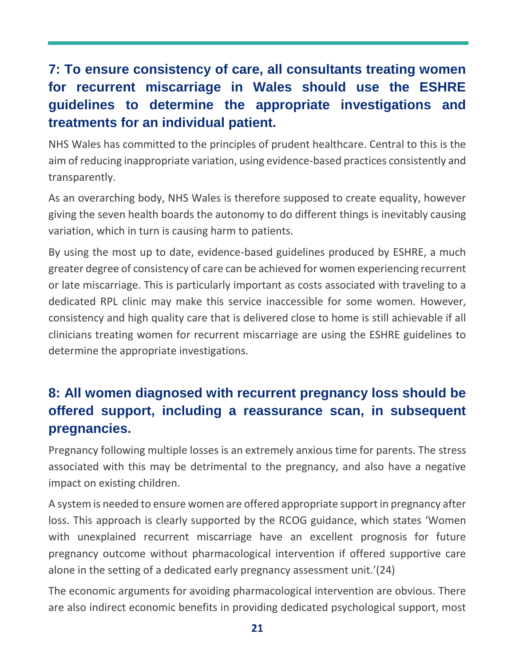#### **7: To ensure consistency of care, all consultants treating women for recurrent miscarriage in Wales should use the ESHRE guidelines to determine the appropriate investigations and treatments for an individual patient.**

NHS Wales has committed to the principles of prudent healthcare. Central to this is the aim of reducing inappropriate variation, using evidence-based practices consistently and transparently.

As an overarching body, NHS Wales is therefore supposed to create equality, however giving the seven health boards the autonomy to do different things is inevitably causing variation, which in turn is causing harm to patients.

By using the most up to date, evidence-based guidelines produced by ESHRE, a much greater degree of consistency of care can be achieved for women experiencing recurrent or late miscarriage. This is particularly important as costs associated with traveling to a dedicated RPL clinic may make this service inaccessible for some women. However, consistency and high quality care that is delivered close to home is still achievable if all clinicians treating women for recurrent miscarriage are using the ESHRE guidelines to determine the appropriate investigations.

#### **8: All women diagnosed with recurrent pregnancy loss should be offered support, including a reassurance scan, in subsequent pregnancies.**

Pregnancy following multiple losses is an extremely anxious time for parents. The stress associated with this may be detrimental to the pregnancy, and also have a negative impact on existing children.

A system is needed to ensure women are offered appropriate support in pregnancy after loss. This approach is clearly supported by the RCOG guidance, which states 'Women with unexplained recurrent miscarriage have an excellent prognosis for future pregnancy outcome without pharmacological intervention if offered supportive care alone in the setting of a dedicated early pregnancy assessment unit.'(24)

The economic arguments for avoiding pharmacological intervention are obvious. There are also indirect economic benefits in providing dedicated psychological support, most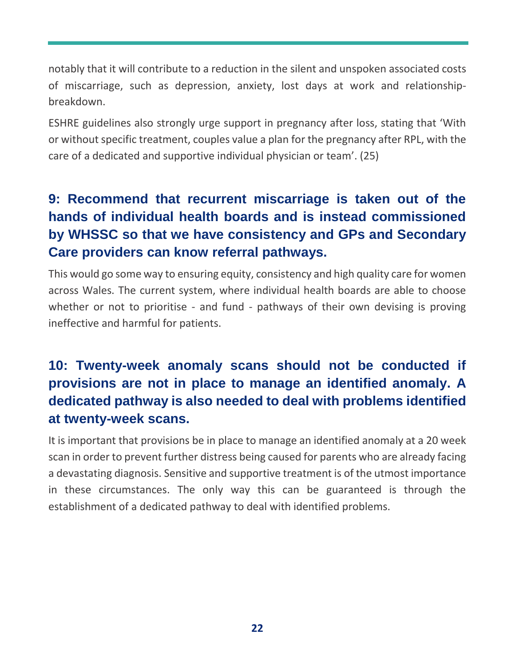notably that it will contribute to a reduction in the silent and unspoken associated costs of miscarriage, such as depression, anxiety, lost days at work and relationshipbreakdown.

ESHRE guidelines also strongly urge support in pregnancy after loss, stating that 'With or without specific treatment, couples value a plan for the pregnancy after RPL, with the care of a dedicated and supportive individual physician or team'. (25)

#### **9: Recommend that recurrent miscarriage is taken out of the hands of individual health boards and is instead commissioned by WHSSC so that we have consistency and GPs and Secondary Care providers can know referral pathways.**

This would go some way to ensuring equity, consistency and high quality care for women across Wales. The current system, where individual health boards are able to choose whether or not to prioritise - and fund - pathways of their own devising is proving ineffective and harmful for patients.

#### **10: Twenty-week anomaly scans should not be conducted if provisions are not in place to manage an identified anomaly. A dedicated pathway is also needed to deal with problems identified at twenty-week scans.**

It is important that provisions be in place to manage an identified anomaly at a 20 week scan in order to prevent further distress being caused for parents who are already facing a devastating diagnosis. Sensitive and supportive treatment is of the utmost importance in these circumstances. The only way this can be guaranteed is through the establishment of a dedicated pathway to deal with identified problems.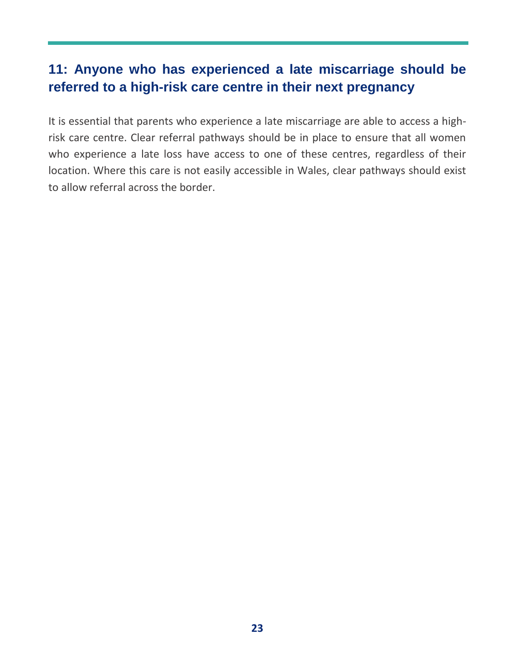#### **11: Anyone who has experienced a late miscarriage should be referred to a high-risk care centre in their next pregnancy**

It is essential that parents who experience a late miscarriage are able to access a highrisk care centre. Clear referral pathways should be in place to ensure that all women who experience a late loss have access to one of these centres, regardless of their location. Where this care is not easily accessible in Wales, clear pathways should exist to allow referral across the border.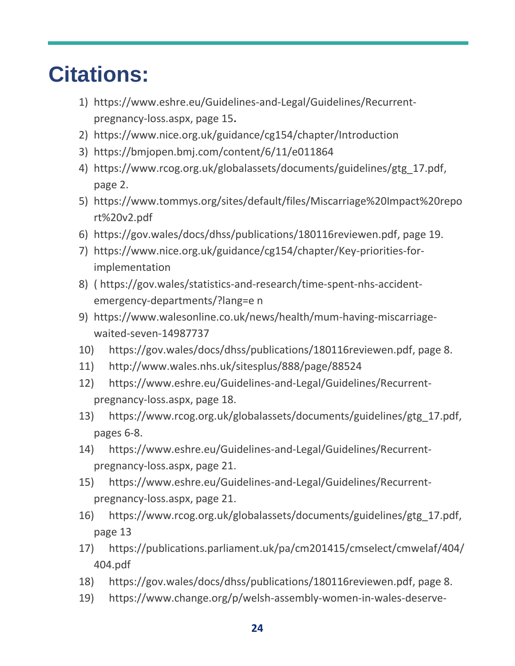### **Citations:**

- 1) [https://www.eshre.eu/Guidelines-and-Legal/Guidelines/Recurrent](https://www.eshre.eu/Guidelines-and-Legal/Guidelines/Recurrent-pregnancy-loss.aspx)[pregnancy-loss.aspx,](https://www.eshre.eu/Guidelines-and-Legal/Guidelines/Recurrent-pregnancy-loss.aspx) page 15**.**
- 2) <https://www.nice.org.uk/guidance/cg154/chapter/Introduction>
- 3) <https://bmjopen.bmj.com/content/6/11/e011864>
- 4) [https://www.rcog.org.uk/globalassets/documents/guidelines/gtg\\_17.pdf,](https://www.rcog.org.uk/globalassets/documents/guidelines/gtg_17.pdf) page 2.
- 5) [https://www.tommys.org/sites/default/files/Miscarriage%20Impact%20repo](https://www.tommys.org/sites/default/files/Miscarriage%20Impact%20report%20v2.pdf) [rt%20v2.pdf](https://www.tommys.org/sites/default/files/Miscarriage%20Impact%20report%20v2.pdf)
- 6) [https://gov.wales/docs/dhss/publications/180116reviewen.pdf,](https://gov.wales/docs/dhss/publications/180116reviewen.pdf) page 19.
- 7) [https://www.nice.org.uk/guidance/cg154/chapter/Key-priorities-for](https://www.nice.org.uk/guidance/cg154/chapter/Key-priorities-for-implementation)[implementation](https://www.nice.org.uk/guidance/cg154/chapter/Key-priorities-for-implementation)
- 8) ( https://gov.wales/statistics-and-research/time-spent-nhs-accidentemergency-departments/?lang=e n
- 9) [https://www.walesonline.co.uk/news/health/mum-having-miscarriage](https://www.walesonline.co.uk/news/health/mum-having-miscarriage-waited-seven-14987737)[waited-seven-14987737](https://www.walesonline.co.uk/news/health/mum-having-miscarriage-waited-seven-14987737)
- 10) [https://gov.wales/docs/dhss/publications/180116reviewen.pdf,](https://gov.wales/docs/dhss/publications/180116reviewen.pdf) page 8.
- 11) <http://www.wales.nhs.uk/sitesplus/888/page/88524>
- 12) [https://www.eshre.eu/Guidelines-and-Legal/Guidelines/Recurrent](https://www.eshre.eu/Guidelines-and-Legal/Guidelines/Recurrent-pregnancy-loss.aspx)[pregnancy-loss.aspx,](https://www.eshre.eu/Guidelines-and-Legal/Guidelines/Recurrent-pregnancy-loss.aspx) page 18.
- 13) [https://www.rcog.org.uk/globalassets/documents/guidelines/gtg\\_17.pdf,](https://www.rcog.org.uk/globalassets/documents/guidelines/gtg_17.pdf) pages 6-8.
- 14) [https://www.eshre.eu/Guidelines-and-Legal/Guidelines/Recurrent](https://www.eshre.eu/Guidelines-and-Legal/Guidelines/Recurrent-pregnancy-loss.aspx)[pregnancy-loss.aspx,](https://www.eshre.eu/Guidelines-and-Legal/Guidelines/Recurrent-pregnancy-loss.aspx) page 21.
- 15) [https://www.eshre.eu/Guidelines-and-Legal/Guidelines/Recurrent](https://www.eshre.eu/Guidelines-and-Legal/Guidelines/Recurrent-pregnancy-loss.aspx)[pregnancy-loss.aspx,](https://www.eshre.eu/Guidelines-and-Legal/Guidelines/Recurrent-pregnancy-loss.aspx) page 21.
- 16) [https://www.rcog.org.uk/globalassets/documents/guidelines/gtg\\_17.pdf,](https://www.rcog.org.uk/globalassets/documents/guidelines/gtg_17.pdf) page 13
- 17) [https://publications.parliament.uk/pa/cm201415/cmselect/cmwelaf/404/](https://publications.parliament.uk/pa/cm201415/cmselect/cmwelaf/404/404.pdf) [404.pdf](https://publications.parliament.uk/pa/cm201415/cmselect/cmwelaf/404/404.pdf)
- 18) [https://gov.wales/docs/dhss/publications/180116reviewen.pdf,](https://gov.wales/docs/dhss/publications/180116reviewen.pdf) page 8.
- 19) [https://www.change.org/p/welsh-assembly-women-in-wales-deserve-](https://www.change.org/p/welsh-assembly-women-in-wales-deserve-better-miscarriage-support-from-the-welsh-nhs?recruiter=41787716&utm_source=share_petition&utm_medium=copylink&utm_campaign=share_petition)